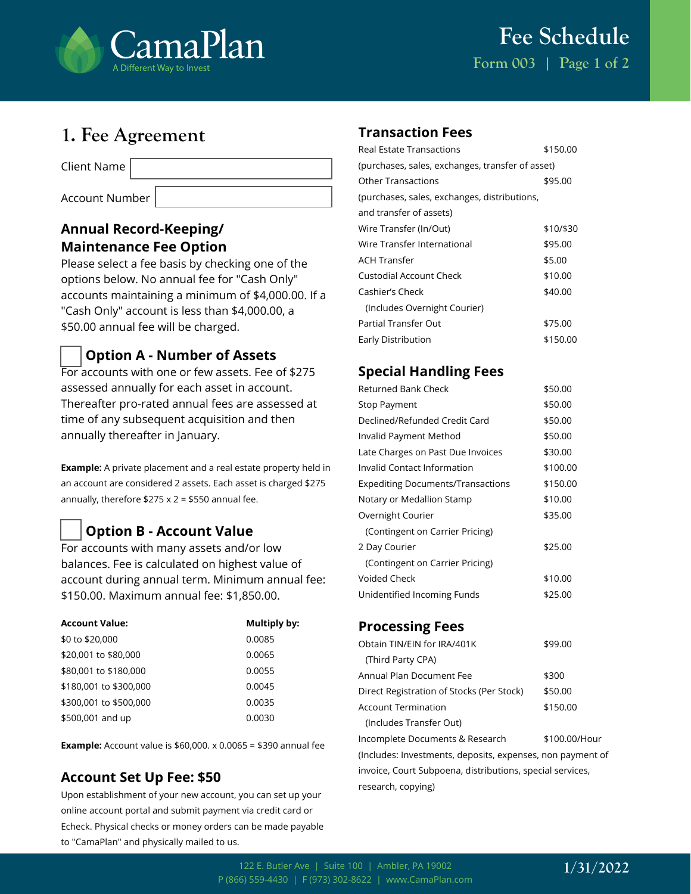

# **1. Fee Agreement**

Client Name

Account Number

## **Annual Record-Keeping/ Maintenance Fee Option**

Please select a fee basis by checking one of the options below. No annual fee for "Cash Only" accounts maintaining a minimum of \$4,000.00. If a "Cash Only" account is less than \$4,000.00, a \$50.00 annual fee will be charged.

## **Option A - Number of Assets**

For accounts with one or few assets. Fee of \$275 assessed annually for each asset in account. Thereafter pro-rated annual fees are assessed at time of any subsequent acquisition and then annually thereafter in January.

**Example:** A private placement and a real estate property held in an account are considered 2 assets. Each asset is charged \$275 annually, therefore  $$275 \times 2 = $550$  annual fee.

# **Option B - Account Value**

For accounts with many assets and/or low balances. Fee is calculated on highest value of account during annual term. Minimum annual fee: \$150.00. Maximum annual fee: \$1,850.00.

| <b>Account Value:</b>  | Multiply by: |
|------------------------|--------------|
| \$0 to \$20,000        | 0.0085       |
| \$20,001 to \$80,000   | 0.0065       |
| \$80,001 to \$180,000  | 0.0055       |
| \$180,001 to \$300,000 | 0.0045       |
| \$300,001 to \$500,000 | 0.0035       |
| \$500,001 and up       | 0.0030       |

**Example:** Account value is \$60,000. x 0.0065 = \$390 annual fee

## **Account Set Up Fee: \$50**

Upon establishment of your new account, you can set up your online account portal and submit payment via credit card or Echeck. Physical checks or money orders can be made payable to "CamaPlan" and physically mailed to us.

#### **Transaction Fees**

| <b>Real Estate Transactions</b>                  | \$150.00  |  |
|--------------------------------------------------|-----------|--|
| (purchases, sales, exchanges, transfer of asset) |           |  |
| Other Transactions                               | \$95.00   |  |
| (purchases, sales, exchanges, distributions,     |           |  |
| and transfer of assets)                          |           |  |
| Wire Transfer (In/Out)                           | \$10/\$30 |  |
| Wire Transfer International                      | \$95.00   |  |
| <b>ACH Transfer</b>                              | \$5.00    |  |
| Custodial Account Check                          | \$10.00   |  |
| Cashier's Check                                  | \$40.00   |  |
| (Includes Overnight Courier)                     |           |  |
| Partial Transfer Out                             | \$75.00   |  |
| Early Distribution                               | \$150.00  |  |

#### **Special Handling Fees**

| Returned Bank Check                      | \$50.00  |
|------------------------------------------|----------|
| Stop Payment                             | \$50.00  |
| Declined/Refunded Credit Card            | \$50.00  |
| Invalid Payment Method                   | \$50.00  |
| Late Charges on Past Due Invoices        | \$30.00  |
| Invalid Contact Information              | \$100.00 |
| <b>Expediting Documents/Transactions</b> | \$150.00 |
| Notary or Medallion Stamp                | \$10.00  |
| Overnight Courier                        | \$35.00  |
| (Contingent on Carrier Pricing)          |          |
| 2 Day Courier                            | \$25.00  |
| (Contingent on Carrier Pricing)          |          |
| Voided Check                             | \$10.00  |
| Unidentified Incoming Funds              | \$25.00  |

## **Processing Fees**

| Obtain TIN/EIN for IRA/401K               | \$99.00       |
|-------------------------------------------|---------------|
| (Third Party CPA)                         |               |
| Annual Plan Document Fee                  | \$300         |
| Direct Registration of Stocks (Per Stock) | \$50.00       |
| <b>Account Termination</b>                | \$150.00      |
| (Includes Transfer Out)                   |               |
| Incomplete Documents & Research           | \$100.00/Hour |

(Includes: Investments, deposits, expenses, non payment of invoice, Court Subpoena, distributions, special services, research, copying)